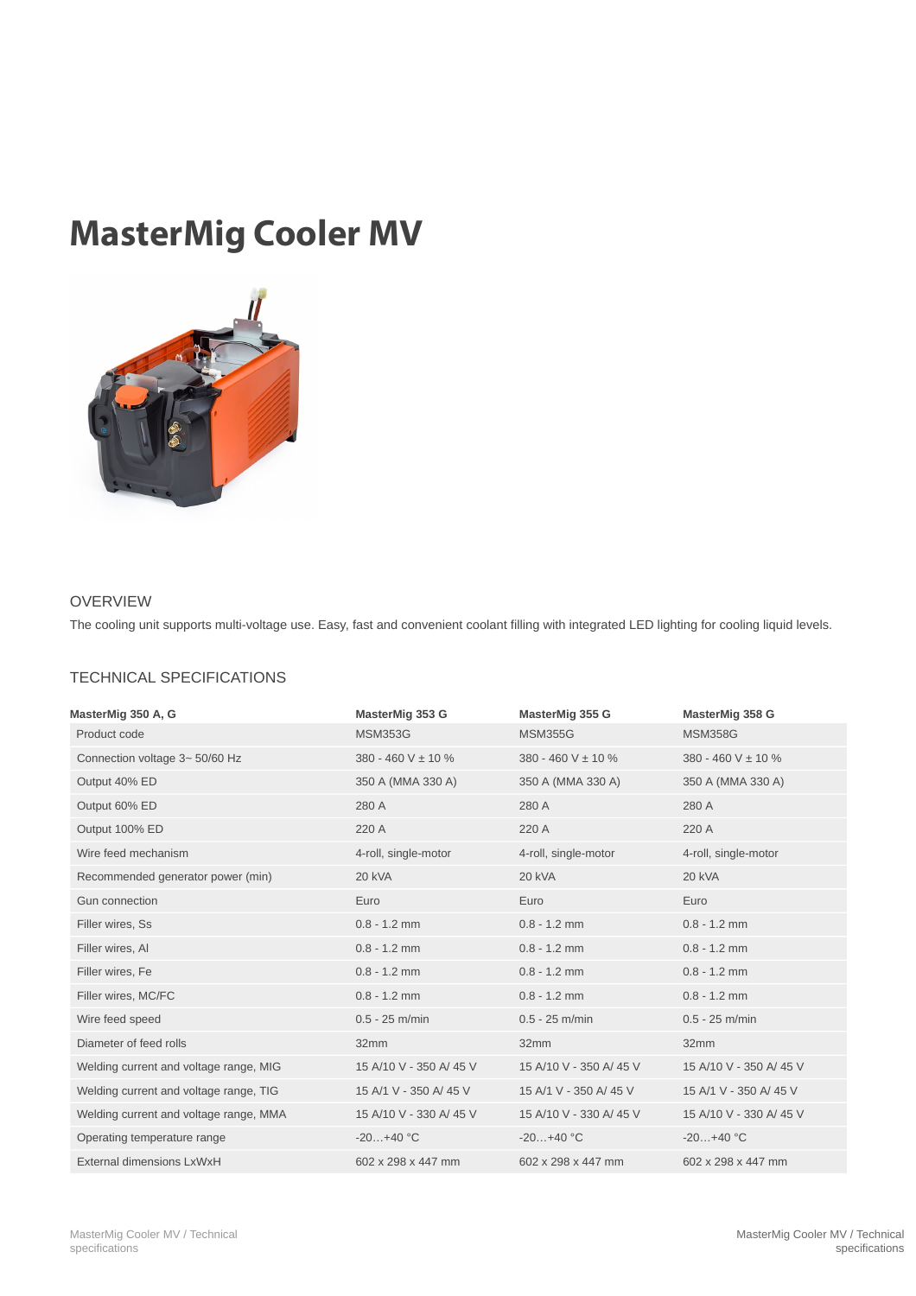## MasterMig Cooler MV



## OVERVIEW

The cooling unit supports multi-voltage use. Easy, fast and convenient coolant filling with integrated LED lighting for cooling liquid levels.

## TECHNICAL SPECIFICATIONS

| MasterMig 350 A, G                     | MasterMig 353 G        | MasterMig 355 G        | MasterMig 358 G          |
|----------------------------------------|------------------------|------------------------|--------------------------|
| Product code                           | <b>MSM353G</b>         | <b>MSM355G</b>         | <b>MSM358G</b>           |
| Connection voltage 3~ 50/60 Hz         | 380 - 460 V ± 10 %     | 380 - 460 V ± 10 %     | $380 - 460$ V $\pm$ 10 % |
| Output 40% ED                          | 350 A (MMA 330 A)      | 350 A (MMA 330 A)      | 350 A (MMA 330 A)        |
| Output 60% ED                          | 280 A                  | 280 A                  | 280 A                    |
| Output 100% ED                         | 220 A                  | 220 A                  | 220 A                    |
| Wire feed mechanism                    | 4-roll, single-motor   | 4-roll, single-motor   | 4-roll, single-motor     |
| Recommended generator power (min)      | 20 kVA                 | 20 kVA                 | 20 kVA                   |
| Gun connection                         | Euro                   | Euro                   | Euro                     |
| Filler wires, Ss                       | $0.8 - 1.2$ mm         | $0.8 - 1.2$ mm         | $0.8 - 1.2$ mm           |
| Filler wires, Al                       | $0.8 - 1.2$ mm         | $0.8 - 1.2$ mm         | $0.8 - 1.2$ mm           |
| Filler wires, Fe                       | $0.8 - 1.2$ mm         | $0.8 - 1.2$ mm         | $0.8 - 1.2$ mm           |
| Filler wires, MC/FC                    | $0.8 - 1.2$ mm         | $0.8 - 1.2$ mm         | $0.8 - 1.2$ mm           |
| Wire feed speed                        | $0.5 - 25$ m/min       | $0.5 - 25$ m/min       | $0.5 - 25$ m/min         |
| Diameter of feed rolls                 | 32mm                   | 32mm                   | 32mm                     |
| Welding current and voltage range, MIG | 15 A/10 V - 350 A/45 V | 15 A/10 V - 350 A/45 V | 15 A/10 V - 350 A/ 45 V  |
| Welding current and voltage range, TIG | 15 A/1 V - 350 A/ 45 V | 15 A/1 V - 350 A/ 45 V | 15 A/1 V - 350 A/ 45 V   |
| Welding current and voltage range, MMA | 15 A/10 V - 330 A/45 V | 15 A/10 V - 330 A/45 V | 15 A/10 V - 330 A/ 45 V  |
| Operating temperature range            | $-20+40 °C$            | $-20+40 °C$            | $-20+40$ °C              |
| External dimensions LxWxH              | 602 x 298 x 447 mm     | 602 x 298 x 447 mm     | 602 x 298 x 447 mm       |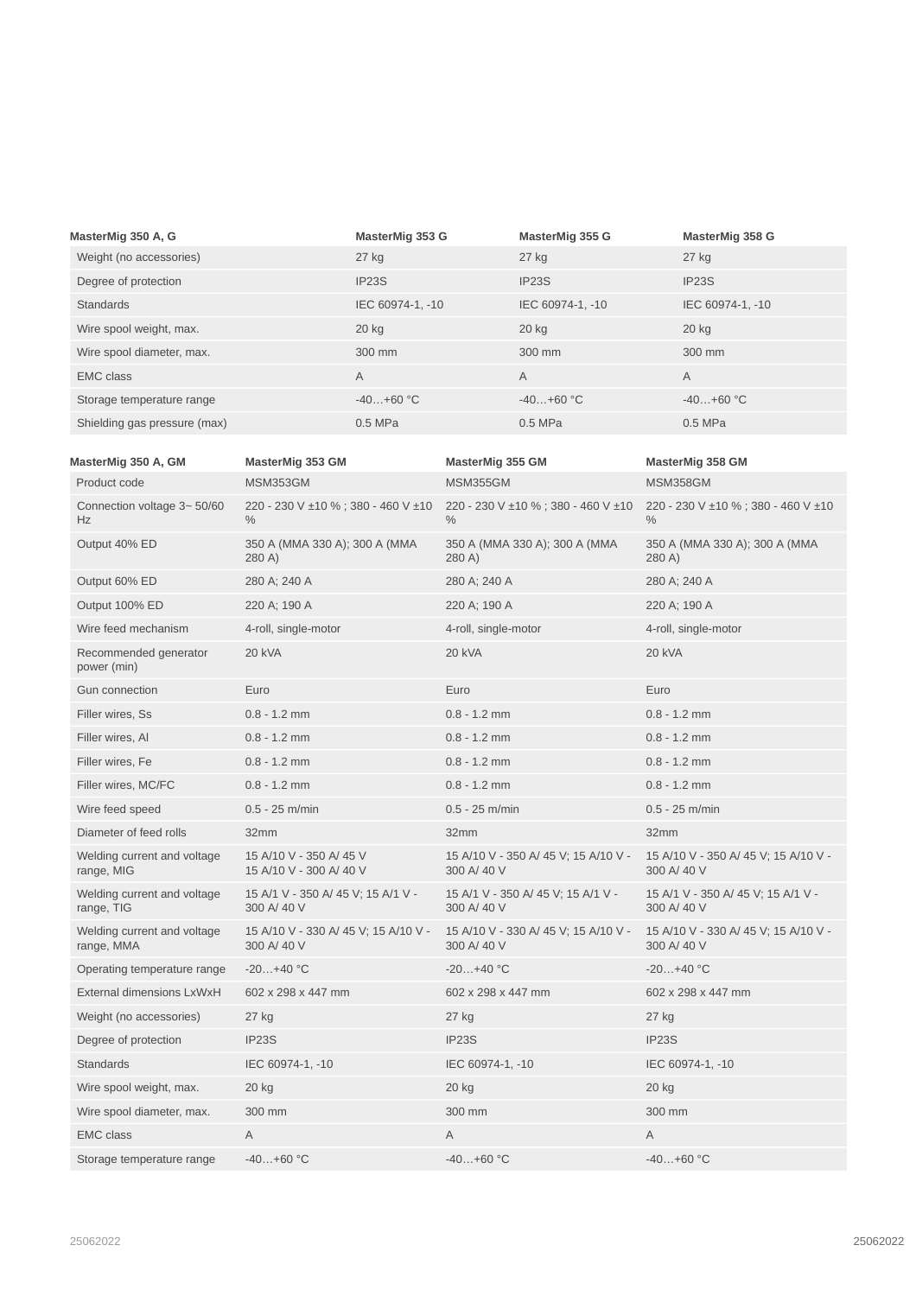| MasterMig 350 A, G           | MasterMig 353 G    | MasterMig 355 G  | MasterMig 358 G  |
|------------------------------|--------------------|------------------|------------------|
| Weight (no accessories)      | $27$ kg            | 27 kg            | 27 kg            |
| Degree of protection         | IP <sub>23</sub> S | IP23S            | IP23S            |
| <b>Standards</b>             | IEC 60974-1, -10   | IEC 60974-1, -10 | IEC 60974-1, -10 |
| Wire spool weight, max.      | $20$ kg            | 20 kg            | 20 kg            |
| Wire spool diameter, max.    | 300 mm             | 300 mm           | 300 mm           |
| <b>EMC class</b>             | A                  | A                | $\overline{A}$   |
| Storage temperature range    | $-40+60$ °C        | $-40+60$ °C      | $-40+60$ °C      |
| Shielding gas pressure (max) | $0.5$ MPa          | $0.5$ MPa        | 0.5 MPa          |

| MasterMig 350 A, GM                       | MasterMig 353 GM                                    | MasterMig 355 GM                                    | MasterMig 358 GM                                    |
|-------------------------------------------|-----------------------------------------------------|-----------------------------------------------------|-----------------------------------------------------|
| Product code                              | MSM353GM                                            | <b>MSM355GM</b>                                     | MSM358GM                                            |
| Connection voltage 3~50/60<br>Hz          | 220 - 230 V ±10 %; 380 - 460 V ±10<br>$\%$          | 220 - 230 V ±10 %; 380 - 460 V ±10<br>$\%$          | 220 - 230 V ±10 %; 380 - 460 V ±10<br>$\%$          |
| Output 40% ED                             | 350 A (MMA 330 A); 300 A (MMA<br>280 A)             | 350 A (MMA 330 A); 300 A (MMA<br>280 A)             | 350 A (MMA 330 A); 300 A (MMA<br>280 A)             |
| Output 60% ED                             | 280 A; 240 A                                        | 280 A; 240 A                                        | 280 A; 240 A                                        |
| Output 100% ED                            | 220 A; 190 A                                        | 220 A; 190 A                                        | 220 A; 190 A                                        |
| Wire feed mechanism                       | 4-roll, single-motor                                | 4-roll, single-motor                                | 4-roll, single-motor                                |
| Recommended generator<br>power (min)      | 20 kVA                                              | <b>20 kVA</b>                                       | 20 kVA                                              |
| <b>Gun connection</b>                     | Euro                                                | Euro                                                | Euro                                                |
| Filler wires, Ss                          | $0.8 - 1.2$ mm                                      | $0.8 - 1.2$ mm                                      | $0.8 - 1.2$ mm                                      |
| Filler wires, Al                          | $0.8 - 1.2$ mm                                      | $0.8 - 1.2$ mm                                      | $0.8 - 1.2$ mm                                      |
| Filler wires, Fe                          | $0.8 - 1.2$ mm                                      | $0.8 - 1.2$ mm                                      | $0.8 - 1.2$ mm                                      |
| Filler wires, MC/FC                       | $0.8 - 1.2$ mm                                      | $0.8 - 1.2$ mm                                      | $0.8 - 1.2$ mm                                      |
| Wire feed speed                           | $0.5 - 25$ m/min                                    | $0.5 - 25$ m/min                                    | $0.5 - 25$ m/min                                    |
| Diameter of feed rolls                    | 32mm                                                | 32mm                                                | 32mm                                                |
| Welding current and voltage<br>range, MIG | 15 A/10 V - 350 A/45 V<br>15 A/10 V - 300 A/ 40 V   | 15 A/10 V - 350 A/ 45 V; 15 A/10 V -<br>300 A/ 40 V | 15 A/10 V - 350 A/ 45 V; 15 A/10 V -<br>300 A/ 40 V |
| Welding current and voltage<br>range, TIG | 15 A/1 V - 350 A/ 45 V; 15 A/1 V -<br>300 A/ 40 V   | 15 A/1 V - 350 A/ 45 V; 15 A/1 V -<br>300 A/ 40 V   | 15 A/1 V - 350 A/ 45 V; 15 A/1 V -<br>300 A/ 40 V   |
| Welding current and voltage<br>range, MMA | 15 A/10 V - 330 A/ 45 V; 15 A/10 V -<br>300 A/ 40 V | 15 A/10 V - 330 A/ 45 V; 15 A/10 V -<br>300 A/ 40 V | 15 A/10 V - 330 A/ 45 V; 15 A/10 V -<br>300 A/ 40 V |
| Operating temperature range               | $-20+40$ °C                                         | $-20+40$ °C                                         | $-20+40 °C$                                         |
| External dimensions LxWxH                 | 602 x 298 x 447 mm                                  | 602 x 298 x 447 mm                                  | 602 x 298 x 447 mm                                  |
| Weight (no accessories)                   | 27 kg                                               | $27$ kg                                             | 27 kg                                               |
| Degree of protection                      | IP23S                                               | IP23S                                               | IP23S                                               |
| <b>Standards</b>                          | IEC 60974-1, -10                                    | IEC 60974-1, -10                                    | IEC 60974-1, -10                                    |
| Wire spool weight, max.                   | 20 kg                                               | 20 kg                                               | 20 kg                                               |
| Wire spool diameter, max.                 | 300 mm                                              | 300 mm                                              | 300 mm                                              |
| <b>EMC class</b>                          | Α                                                   | Α                                                   | Α                                                   |
| Storage temperature range                 | $-40+60 °C$                                         | $-40+60$ °C                                         | $-40+60$ °C                                         |